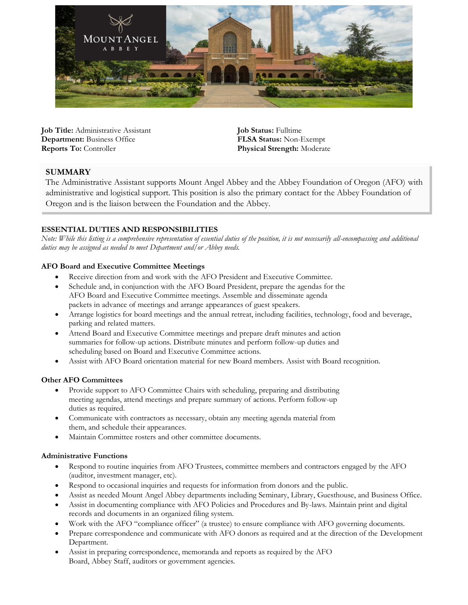

**Job Title:** Administrative Assistant **Department:** Business Office **Reports To:** Controller

**Job Status:** Fulltime **FLSA Status:** Non-Exempt **Physical Strength:** Moderate

# **SUMMARY**

The Administrative Assistant supports Mount Angel Abbey and the Abbey Foundation of Oregon (AFO) with administrative and logistical support. This position is also the primary contact for the Abbey Foundation of Oregon and is the liaison between the Foundation and the Abbey.

## **ESSENTIAL DUTIES AND RESPONSIBILITIES**

*Note: While this listing is a comprehensive representation of essential duties of the position, it is not necessarily all-encompassing and additional duties may be assigned as needed to meet Department and/or Abbey needs.*

## **AFO Board and Executive Committee Meetings**

- Receive direction from and work with the AFO President and Executive Committee.
- Schedule and, in conjunction with the AFO Board President, prepare the agendas for the AFO Board and Executive Committee meetings. Assemble and disseminate agenda packets in advance of meetings and arrange appearances of guest speakers.
- Arrange logistics for board meetings and the annual retreat, including facilities, technology, food and beverage, parking and related matters.
- Attend Board and Executive Committee meetings and prepare draft minutes and action summaries for follow-up actions. Distribute minutes and perform follow-up duties and scheduling based on Board and Executive Committee actions.
- Assist with AFO Board orientation material for new Board members. Assist with Board recognition.

#### **Other AFO Committees**

- Provide support to AFO Committee Chairs with scheduling, preparing and distributing meeting agendas, attend meetings and prepare summary of actions. Perform follow-up duties as required.
- Communicate with contractors as necessary, obtain any meeting agenda material from them, and schedule their appearances.
- Maintain Committee rosters and other committee documents.

#### **Administrative Functions**

- Respond to routine inquiries from AFO Trustees, committee members and contractors engaged by the AFO (auditor, investment manager, etc).
- Respond to occasional inquiries and requests for information from donors and the public.
- Assist as needed Mount Angel Abbey departments including Seminary, Library, Guesthouse, and Business Office.
- Assist in documenting compliance with AFO Policies and Procedures and By-laws. Maintain print and digital records and documents in an organized filing system.
- Work with the AFO "compliance officer" (a trustee) to ensure compliance with AFO governing documents.
- Prepare correspondence and communicate with AFO donors as required and at the direction of the Development Department.
- Assist in preparing correspondence, memoranda and reports as required by the AFO Board, Abbey Staff, auditors or government agencies.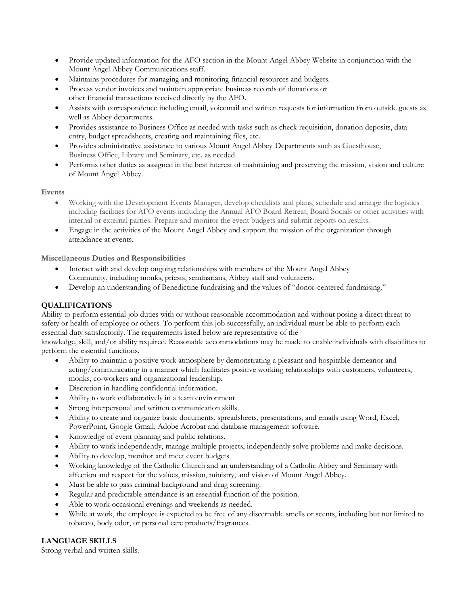- Provide updated information for the AFO section in the Mount Angel Abbey Website in conjunction with the Mount Angel Abbey Communications staff.
- Maintains procedures for managing and monitoring financial resources and budgets.
- Process vendor invoices and maintain appropriate business records of donations or other financial transactions received directly by the AFO.
- Assists with correspondence including email, voicemail and written requests for information from outside guests as well as Abbey departments.
- Provides assistance to Business Office as needed with tasks such as check requisition, donation deposits, data entry, budget spreadsheets, creating and maintaining files, etc.
- Provides administrative assistance to various Mount Angel Abbey Departments such as Guesthouse, Business Office, Library and Seminary, etc. as needed.
- Performs other duties as assigned in the best interest of maintaining and preserving the mission, vision and culture of Mount Angel Abbey.

## **Events**

- Working with the Development Events Manager, develop checklists and plans, schedule and arrange the logistics including facilities for AFO events including the Annual AFO Board Retreat, Board Socials or other activities with internal or external parties. Prepare and monitor the event budgets and submit reports on results.
- Engage in the activities of the Mount Angel Abbey and support the mission of the organization through attendance at events.

**Miscellaneous Duties and Responsibilities**

- Interact with and develop ongoing relationships with members of the Mount Angel Abbey Community, including monks, priests, seminarians, Abbey staff and volunteers.
- Develop an understanding of Benedictine fundraising and the values of "donor-centered fundraising."

# **QUALIFICATIONS**

Ability to perform essential job duties with or without reasonable accommodation and without posing a direct threat to safety or health of employee or others. To perform this job successfully, an individual must be able to perform each essential duty satisfactorily. The requirements listed below are representative of the

knowledge, skill, and/or ability required. Reasonable accommodations may be made to enable individuals with disabilities to perform the essential functions.

- Ability to maintain a positive work atmosphere by demonstrating a pleasant and hospitable demeanor and acting/communicating in a manner which facilitates positive working relationships with customers, volunteers, monks, co-workers and organizational leadership.
- Discretion in handling confidential information.
- Ability to work collaboratively in a team environment
- Strong interpersonal and written communication skills.
- Ability to create and organize basic documents, spreadsheets, presentations, and emails using Word, Excel, PowerPoint, Google Gmail, Adobe Acrobat and database management software.
- Knowledge of event planning and public relations.
- Ability to work independently, manage multiple projects, independently solve problems and make decisions.
- Ability to develop, monitor and meet event budgets.
- Working knowledge of the Catholic Church and an understanding of a Catholic Abbey and Seminary with affection and respect for the values, mission, ministry, and vision of Mount Angel Abbey.
- Must be able to pass criminal background and drug screening.
- Regular and predictable attendance is an essential function of the position.
- Able to work occasional evenings and weekends as needed.
- While at work, the employee is expected to be free of any discernable smells or scents, including but not limited to tobacco, body odor, or personal care products/fragrances.

#### **LANGUAGE SKILLS**

Strong verbal and written skills.